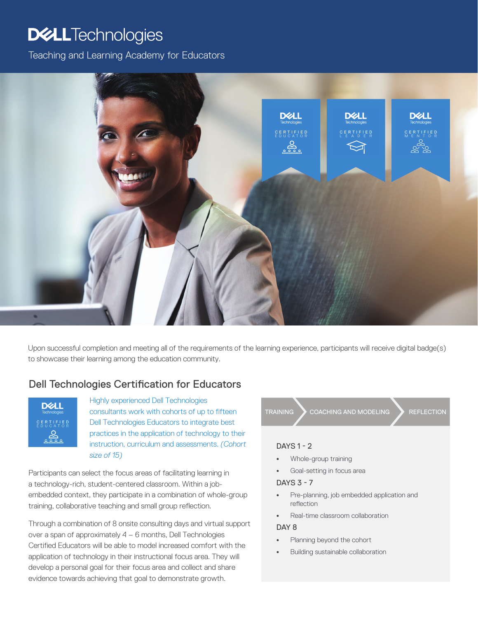# **DELLTechnologies**

Teaching and Learning Academy for Educators



Upon successful completion and meeting all of the requirements of the learning experience, participants will receive digital badge(s) to showcase their learning among the education community.

## Dell Technologies Certification for Educators

![](_page_0_Picture_5.jpeg)

Highly experienced Dell Technologies consultants work with cohorts of up to fifteen Dell Technologies Educators to integrate best practices in the application of technology to their instruction, curriculum and assessments. *(Cohort size of 15)*

Participants can select the focus areas of facilitating learning in a technology-rich, student-centered classroom. Within a jobembedded context, they participate in a combination of whole-group training, collaborative teaching and small group reflection.

Through a combination of 8 onsite consulting days and virtual support over a span of approximately 4 – 6 months, Dell Technologies Certified Educators will be able to model increased comfort with the application of technology in their instructional focus area. They will develop a personal goal for their focus area and collect and share evidence towards achieving that goal to demonstrate growth.

![](_page_0_Picture_9.jpeg)

#### DAYS 1 - 2

- Whole-group training
- Goal-setting in focus area

#### DAYS 3 - 7

- Pre-planning, job embedded application and reflection
- Real-time classroom collaboration

#### DAY<sub>8</sub>

- Planning beyond the cohort
- Building sustainable collaboration